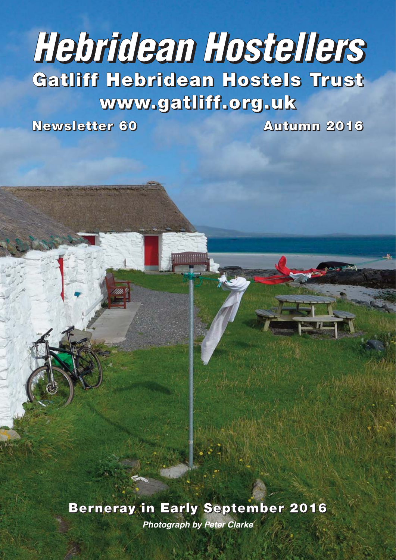# **Hebridean Hostellers Gatliff Hebridean Hostels Trust**

**www.gatliff.org.uk**

**Newsletter 60 Autumn 2016**

**Berneray in Early September 2016 Photograph by Peter Clarke**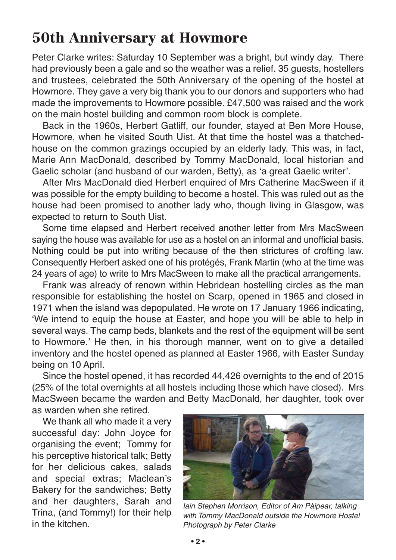### **50th Anniversary at Howmore**

Peter Clarke writes: Saturday 10 September was a bright, but windy day. There had previously been a gale and so the weather was a relief. 35 guests, hostellers and trustees, celebrated the 50th Anniversary of the opening of the hostel at Howmore. They gave a very big thank you to our donors and supporters who had made the improvements to Howmore possible. £47,500 was raised and the work on the main hostel building and common room block is complete.

Back in the 1960s, Herbert Gatliff, our founder, stayed at Ben More House, Howmore, when he visited South Uist. At that time the hostel was a thatchedhouse on the common grazings occupied by an elderly lady. This was, in fact, Marie Ann MacDonald, described by Tommy MacDonald, local historian and Gaelic scholar (and husband of our warden, Betty), as 'a great Gaelic writer'.

After Mrs MacDonald died Herbert enquired of Mrs Catherine MacSween if it was possible for the empty building to become a hostel. This was ruled out as the house had been promised to another lady who, though living in Glasgow, was expected to return to South Uist.

Some time elapsed and Herbert received another letter from Mrs MacSween saying the house was available for use as a hostel on an informal and unofficial basis. Nothing could be put into writing because of the then strictures of crofting law. Consequently Herbert asked one of his protégés, Frank Martin (who at the time was 24 years of age) to write to Mrs MacSween to make all the practical arrangements.

Frank was already of renown within Hebridean hostelling circles as the man responsible for establishing the hostel on Scarp, opened in 1965 and closed in 1971 when the island was depopulated. He wrote on 17 January 1966 indicating, 'We intend to equip the house at Easter, and hope you will be able to help in several ways. The camp beds, blankets and the rest of the equipment will be sent to Howmore.' He then, in his thorough manner, went on to give a detailed inventory and the hostel opened as planned at Easter 1966, with Easter Sunday being on 10 April.

Since the hostel opened, it has recorded 44,426 overnights to the end of 2015 (25% of the total overnights at all hostels including those which have closed). Mrs MacSween became the warden and Betty MacDonald, her daughter, took over as warden when she retired.

We thank all who made it a very successful day: John Joyce for organising the event; Tommy for his perceptive historical talk; Betty for her delicious cakes, salads and special extras; Maclean's Bakery for the sandwiches; Betty and her daughters, Sarah and Trina, (and Tommy!) for their help in the kitchen.



Iain Stephen Morrison, Editor of Am Pàipear, talking with Tommy MacDonald outside the Howmore Hostel Photograph by Peter Clarke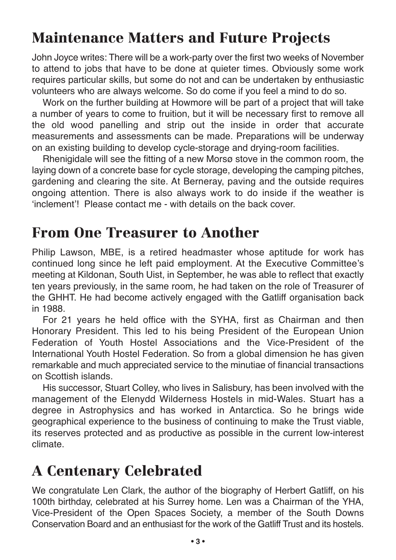### **Maintenance Matters and Future Projects**

John Joyce writes: There will be a work-party over the first two weeks of November to attend to jobs that have to be done at quieter times. Obviously some work requires particular skills, but some do not and can be undertaken by enthusiastic volunteers who are always welcome. So do come if you feel a mind to do so.

Work on the further building at Howmore will be part of a project that will take a number of years to come to fruition, but it will be necessary first to remove all the old wood panelling and strip out the inside in order that accurate measurements and assessments can be made. Preparations will be underway on an existing building to develop cycle-storage and drying-room facilities.

Rhenigidale will see the fitting of a new Morsø stove in the common room, the laying down of a concrete base for cycle storage, developing the camping pitches, gardening and clearing the site. At Berneray, paving and the outside requires ongoing attention. There is also always work to do inside if the weather is 'inclement'! Please contact me - with details on the back cover.

### **From One Treasurer to Another**

Philip Lawson, MBE, is a retired headmaster whose aptitude for work has continued long since he left paid employment. At the Executive Committee's meeting at Kildonan, South Uist, in September, he was able to reflect that exactly ten years previously, in the same room, he had taken on the role of Treasurer of the GHHT. He had become actively engaged with the Gatliff organisation back in 1988.

For 21 years he held office with the SYHA, first as Chairman and then Honorary President. This led to his being President of the European Union Federation of Youth Hostel Associations and the Vice-President of the International Youth Hostel Federation. So from a global dimension he has given remarkable and much appreciated service to the minutiae of financial transactions on Scottish islands.

His successor, Stuart Colley, who lives in Salisbury, has been involved with the management of the Elenydd Wilderness Hostels in mid-Wales. Stuart has a degree in Astrophysics and has worked in Antarctica. So he brings wide geographical experience to the business of continuing to make the Trust viable, its reserves protected and as productive as possible in the current low-interest climate.

### **A Centenary Celebrated**

We congratulate Len Clark, the author of the biography of Herbert Gatliff, on his 100th birthday, celebrated at his Surrey home. Len was a Chairman of the YHA, Vice-President of the Open Spaces Society, a member of the South Downs Conservation Board and an enthusiast for the work of the Gatliff Trust and its hostels.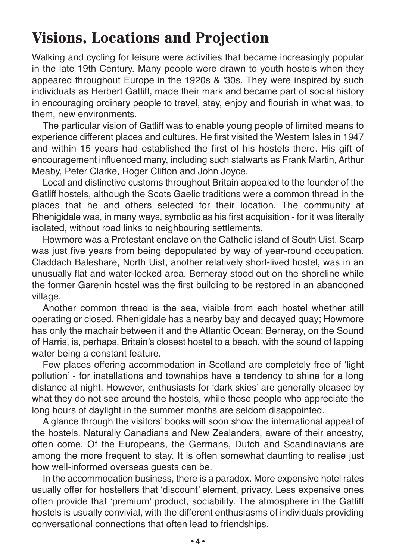### **Visions, Locations and Projection**

Walking and cycling for leisure were activities that became increasingly popular in the late 19th Century. Many people were drawn to youth hostels when they appeared throughout Europe in the 1920s & '30s. They were inspired by such individuals as Herbert Gatliff, made their mark and became part of social history in encouraging ordinary people to travel, stay, enjoy and flourish in what was, to them, new environments.

The particular vision of Gatliff was to enable young people of limited means to experience different places and cultures. He first visited the Western Isles in 1947 and within 15 years had established the first of his hostels there. His gift of encouragement influenced many, including such stalwarts as Frank Martin, Arthur Meaby, Peter Clarke, Roger Clifton and John Joyce.

Local and distinctive customs throughout Britain appealed to the founder of the Gatliff hostels, although the Scots Gaelic traditions were a common thread in the places that he and others selected for their location. The community at Rhenigidale was, in many ways, symbolic as his first acquisition - for it was literally isolated, without road links to neighbouring settlements.

Howmore was a Protestant enclave on the Catholic island of South Uist. Scarp was just five years from being depopulated by way of year-round occupation. Claddach Baleshare, North Uist, another relatively short-lived hostel, was in an unusually flat and water-locked area. Berneray stood out on the shoreline while the former Garenin hostel was the first building to be restored in an abandoned village.

Another common thread is the sea, visible from each hostel whether still operating or closed. Rhenigidale has a nearby bay and decayed quay; Howmore has only the machair between it and the Atlantic Ocean; Berneray, on the Sound of Harris, is, perhaps, Britain's closest hostel to a beach, with the sound of lapping water being a constant feature.

Few places offering accommodation in Scotland are completely free of 'light pollution' - for installations and townships have a tendency to shine for a long distance at night. However, enthusiasts for 'dark skies' are generally pleased by what they do not see around the hostels, while those people who appreciate the long hours of daylight in the summer months are seldom disappointed.

A glance through the visitors' books will soon show the international appeal of the hostels. Naturally Canadians and New Zealanders, aware of their ancestry, often come. Of the Europeans, the Germans, Dutch and Scandinavians are among the more frequent to stay. It is often somewhat daunting to realise just how well-informed overseas guests can be.

In the accommodation business, there is a paradox. More expensive hotel rates usually offer for hostellers that 'discount' element, privacy. Less expensive ones often provide that 'premium' product, sociability. The atmosphere in the Gatliff hostels is usually convivial, with the different enthusiasms of individuals providing conversational connections that often lead to friendships.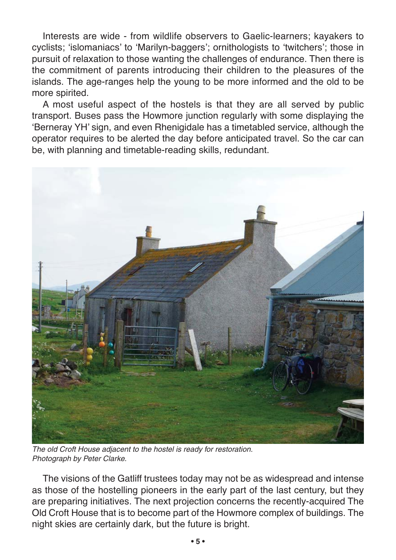Interests are wide - from wildlife observers to Gaelic-learners; kayakers to cyclists; 'islomaniacs' to 'Marilyn-baggers'; ornithologists to 'twitchers'; those in pursuit of relaxation to those wanting the challenges of endurance. Then there is the commitment of parents introducing their children to the pleasures of the islands. The age-ranges help the young to be more informed and the old to be more spirited.

A most useful aspect of the hostels is that they are all served by public transport. Buses pass the Howmore junction regularly with some displaying the 'Berneray YH' sign, and even Rhenigidale has a timetabled service, although the operator requires to be alerted the day before anticipated travel. So the car can be, with planning and timetable-reading skills, redundant.



The old Croft House adjacent to the hostel is ready for restoration. Photograph by Peter Clarke.

The visions of the Gatliff trustees today may not be as widespread and intense as those of the hostelling pioneers in the early part of the last century, but they are preparing initiatives. The next projection concerns the recently-acquired The Old Croft House that is to become part of the Howmore complex of buildings. The night skies are certainly dark, but the future is bright.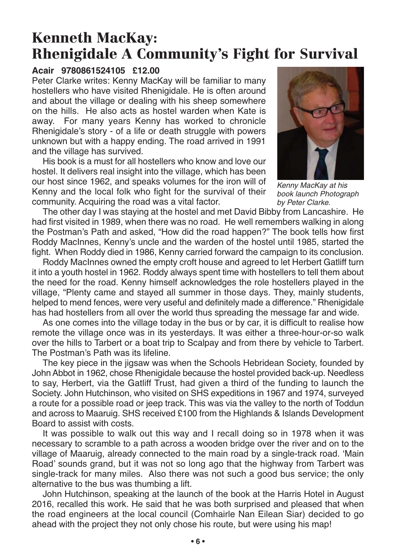### **Kenneth MacKay: Rhenigidale A Community's Fight for Survival**

#### **Acair 9780861524105 £12.00**

Peter Clarke writes: Kenny MacKay will be familiar to many hostellers who have visited Rhenigidale. He is often around and about the village or dealing with his sheep somewhere on the hills. He also acts as hostel warden when Kate is away. For many years Kenny has worked to chronicle Rhenigidale's story - of a life or death struggle with powers unknown but with a happy ending. The road arrived in 1991 and the village has survived.

His book is a must for all hostellers who know and love our hostel. It delivers real insight into the village, which has been our host since 1962, and speaks volumes for the iron will of Kenny and the local folk who fight for the survival of their community. Acquiring the road was a vital factor.



Kenny MacKay at his book launch Photograph by Peter Clarke.

The other day I was staying at the hostel and met David Bibby from Lancashire. He had first visited in 1989, when there was no road. He well remembers walking in along the Postman's Path and asked, "How did the road happen?" The book tells how first Roddy MacInnes, Kenny's uncle and the warden of the hostel until 1985, started the fight. When Roddy died in 1986, Kenny carried forward the campaign to its conclusion.

Roddy MacInnes owned the empty croft house and agreed to let Herbert Gatliff turn it into a youth hostel in 1962. Roddy always spent time with hostellers to tell them about the need for the road. Kenny himself acknowledges the role hostellers played in the village, "Plenty came and stayed all summer in those days. They, mainly students, helped to mend fences, were very useful and definitely made a difference." Rhenigidale has had hostellers from all over the world thus spreading the message far and wide.

As one comes into the village today in the bus or by car, it is difficult to realise how remote the village once was in its yesterdays. It was either a three-hour-or-so walk over the hills to Tarbert or a boat trip to Scalpay and from there by vehicle to Tarbert. The Postman's Path was its lifeline.

The key piece in the jigsaw was when the Schools Hebridean Society, founded by John Abbot in 1962, chose Rhenigidale because the hostel provided back-up. Needless to say, Herbert, via the Gatliff Trust, had given a third of the funding to launch the Society. John Hutchinson, who visited on SHS expeditions in 1967 and 1974, surveyed a route for a possible road or jeep track. This was via the valley to the north of Toddun and across to Maaruig. SHS received £100 from the Highlands & Islands Development Board to assist with costs.

It was possible to walk out this way and I recall doing so in 1978 when it was necessary to scramble to a path across a wooden bridge over the river and on to the village of Maaruig, already connected to the main road by a single-track road. 'Main Road' sounds grand, but it was not so long ago that the highway from Tarbert was single-track for many miles. Also there was not such a good bus service; the only alternative to the bus was thumbing a lift.

John Hutchinson, speaking at the launch of the book at the Harris Hotel in August 2016, recalled this work. He said that he was both surprised and pleased that when the road engineers at the local council (Comhairle Nan Eilean Siar) decided to go ahead with the project they not only chose his route, but were using his map!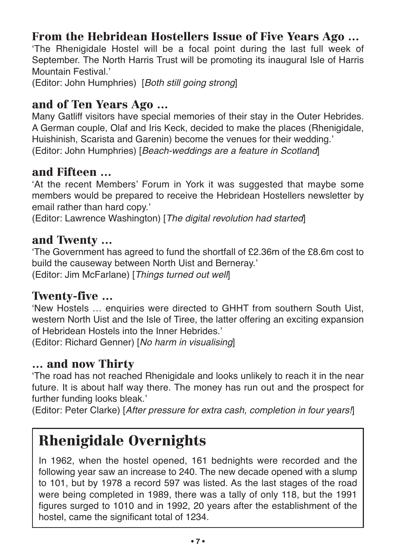#### **From the Hebridean Hostellers Issue of Five Years Ago …**

'The Rhenigidale Hostel will be a focal point during the last full week of September. The North Harris Trust will be promoting its inaugural Isle of Harris Mountain Festival.'

(Editor: John Humphries) [Both still going strong]

#### **and of Ten Years Ago …**

Many Gatliff visitors have special memories of their stay in the Outer Hebrides. A German couple, Olaf and Iris Keck, decided to make the places (Rhenigidale, Huishinish, Scarista and Garenin) become the venues for their wedding.' (Editor: John Humphries) [Beach-weddings are a feature in Scotland]

#### **and Fifteen …**

'At the recent Members' Forum in York it was suggested that maybe some members would be prepared to receive the Hebridean Hostellers newsletter by email rather than hard copy.'

(Editor: Lawrence Washington) [The digital revolution had started]

#### **and Twenty …**

'The Government has agreed to fund the shortfall of £2.36m of the £8.6m cost to build the causeway between North Uist and Berneray.' (Editor: Jim McFarlane) [Things turned out well]

#### **Twenty-five …**

'New Hostels … enquiries were directed to GHHT from southern South Uist, western North Uist and the Isle of Tiree, the latter offering an exciting expansion of Hebridean Hostels into the Inner Hebrides.'

(Editor: Richard Genner) [No harm in visualising]

#### **… and now Thirty**

'The road has not reached Rhenigidale and looks unlikely to reach it in the near future. It is about half way there. The money has run out and the prospect for further funding looks bleak.'

(Editor: Peter Clarke) [After pressure for extra cash, completion in four years!]

### **Rhenigidale Overnights**

In 1962, when the hostel opened, 161 bednights were recorded and the following year saw an increase to 240. The new decade opened with a slump to 101, but by 1978 a record 597 was listed. As the last stages of the road were being completed in 1989, there was a tally of only 118, but the 1991 figures surged to 1010 and in 1992, 20 years after the establishment of the hostel, came the significant total of 1234.